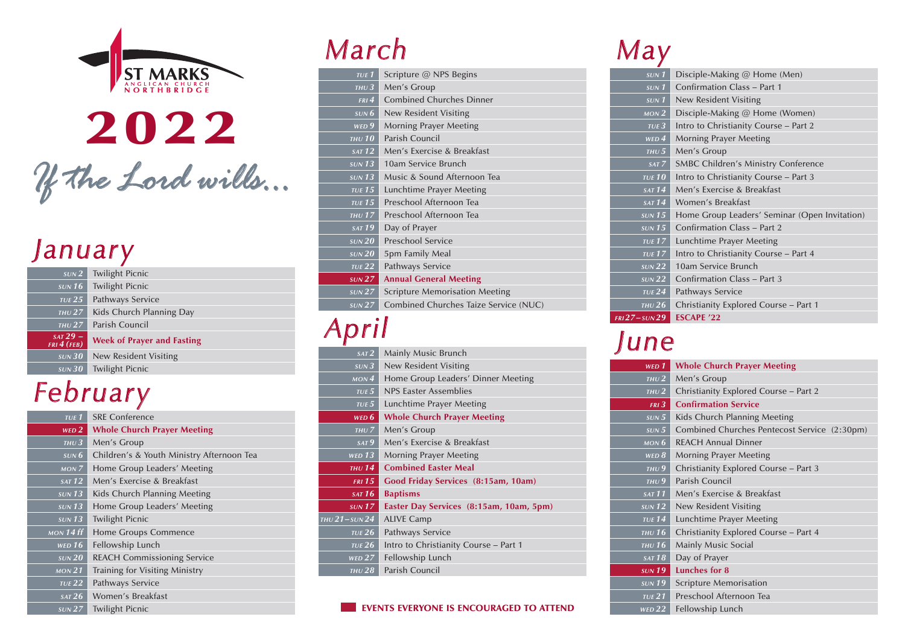

2022 *If the Lord wills... <sup>w</sup> i lls...*

#### *January J a n u a r y*

| SUN <sub>2</sub>            | <b>Twilight Picnic</b>            |
|-----------------------------|-----------------------------------|
| SUN 16                      | <b>Twilight Picnic</b>            |
| TUE 25                      | Pathways Service                  |
| THU $27$                    | Kids Church Planning Day          |
| $THU$ 27                    | Parish Council                    |
| $SAT 29 -$<br>FRI $4$ (FEB) | <b>Week of Prayer and Fasting</b> |
| SUN 30                      | New Resident Visiting             |
| SUN 30                      | <b>Twilight Picnic</b>            |

### *February*

| $TUE$ $1$                          | <b>SRF Conference</b>                     |
|------------------------------------|-------------------------------------------|
| $WED$ $2$                          | <b>Whole Church Prayer Meeting</b>        |
| THU $3$                            | Men's Group                               |
| $s$ UN $6$                         | Children's & Youth Ministry Afternoon Tea |
| MON <sub>7</sub>                   | Home Group Leaders' Meeting               |
| SAT 12                             | Men's Exercise & Breakfast                |
| $SUN$ 13                           | Kids Church Planning Meeting              |
| $\overline{\text{s}}$ <i>UN</i> 13 | Home Group Leaders' Meeting               |
| $SUN$ 13                           | <b>Twilight Picnic</b>                    |
| $\overline{MON}$ 14 ff             | Home Groups Commence                      |
| WED $16$                           | Fellowship Lunch                          |
| SUN 20                             | <b>REACH Commissioning Service</b>        |
| $\overline{MON}$ 21                | Training for Visiting Ministry            |
| $TUE$ 22                           | Pathways Service                          |
| SAT 26                             | Women's Breakfast                         |
| $\overline{\text{s}}$ UN 27        | <b>Twilight Picnic</b>                    |

## *March*

| $TUE$ $1$                  | Scripture @ NPS Begins                |
|----------------------------|---------------------------------------|
| THU $3^-$                  | Men's Group                           |
| $FRI$ 4                    | <b>Combined Churches Dinner</b>       |
| SUN 6                      | New Resident Visiting                 |
| WED <sub>9</sub>           | <b>Morning Prayer Meeting</b>         |
| THU 10                     | Parish Council                        |
| $\overline{SAT}$ 12        | Men's Exercise & Breakfast            |
| $s$ UN 13                  | 10am Service Brunch                   |
| $SUN$ 13                   | Music & Sound Afternoon Tea           |
| <b>TUE 15</b>              | Lunchtime Prayer Meeting              |
| <b>TUE 15</b>              | Preschool Afternoon Tea               |
| THU $17$                   | Preschool Afternoon Tea               |
| $\overline{\text{SAT}}$ 19 | Day of Prayer                         |
| SUN 20                     | <b>Preschool Service</b>              |
| SUN 20                     | 5pm Family Meal                       |
| $TUE$ 22                   | Pathways Service                      |
| SUN 27                     | <b>Annual General Meeting</b>         |
| SUN 27                     | <b>Scripture Memorisation Meeting</b> |
| SUN 27                     | Combined Churches Taize Service (NUC) |
|                            |                                       |

## *April*

*THU*

| SAT <sub>2</sub>            | Mainly Music Brunch                     |
|-----------------------------|-----------------------------------------|
| SUN3                        | <b>New Resident Visiting</b>            |
| MON <sub>4</sub>            | Home Group Leaders' Dinner Meeting      |
| $TUE$ $5$                   | <b>NPS Faster Assemblies</b>            |
| $TUE$ 5                     | Lunchtime Prayer Meeting                |
| WED $6$                     | <b>Whole Church Prayer Meeting</b>      |
| THUZ                        | Men's Group                             |
| SAT 9                       | Men's Exercise & Breakfast              |
| <b>WED 13</b>               | Morning Prayer Meeting                  |
|                             |                                         |
| THU $14$                    | <b>Combined Easter Meal</b>             |
| <b>FRI</b> 15               | Good Friday Services (8:15am, 10am)     |
| $\overline{SAT 16}$         | <b>Baptisms</b>                         |
| SUN 17                      | Easter Day Services (8:15am, 10am, 5pm) |
|                             | <b>ALIVE Camp</b>                       |
| TUE $26$                    | Pathways Service                        |
| TUE $26$                    | Intro to Christianity Course - Part 1   |
| $WED$ $27$                  | Fellowship Lunch                        |
| $U21$ –sun $24$<br>THU $28$ | Parish Council                          |

#### EVENTS EVERYONE IS ENCOURAGED TO ATTEND

# *May*

| $\overline{\text{s}}$ <i>UN</i> 1 | Disciple-Making @ Home (Men)                  |
|-----------------------------------|-----------------------------------------------|
| $s$ <sub>UN</sub> $1$             | Confirmation Class - Part 1                   |
| $s$ <sub>UN</sub> $1$             | New Resident Visiting                         |
| MON <sub>2</sub>                  | Disciple-Making @ Home (Women)                |
| TUE3                              | Intro to Christianity Course - Part 2         |
| $WED$ <sup><math>4</math></sup>   | <b>Morning Prayer Meeting</b>                 |
| THU $5$                           | Men's Group                                   |
| SAT 7                             | <b>SMBC Children's Ministry Conference</b>    |
| <b>TUE 10</b>                     | Intro to Christianity Course - Part 3         |
| SAT 14                            | Men's Exercise & Breakfast                    |
| SAT 14                            | Women's Breakfast                             |
| SUN 15                            | Home Group Leaders' Seminar (Open Invitation) |
| SUN 15                            | Confirmation Class - Part 2                   |
| <b>TUE 17</b>                     | Lunchtime Prayer Meeting                      |
| <b>TUE 17</b>                     | Intro to Christianity Course - Part 4         |
| SUN 22                            | 10am Service Brunch                           |
| $\frac{\text{SUN}}{22}$           | Confirmation Class – Part 3                   |
| TUE $24$                          | Pathways Service                              |
| THU $26$                          | Christianity Explored Course - Part 1         |
| 127 – sun 29                      | <b>ESCAPE '22</b>                             |

## *June*

*FRI*

| WED 1             | <b>Whole Church Prayer Meeting</b>           |
|-------------------|----------------------------------------------|
| THU $2$           | Men's Group                                  |
| THU2              | Christianity Explored Course - Part 2        |
| $FRI$ 3           | <b>Confirmation Service</b>                  |
| SUN 5             | Kids Church Planning Meeting                 |
| SUN 5             | Combined Churches Pentecost Service (2:30pm) |
| MON $6$           | <b>REACH Annual Dinner</b>                   |
| WED 8             | <b>Morning Prayer Meeting</b>                |
| THU9              | Christianity Explored Course - Part 3        |
| THU9              | Parish Council                               |
| SAT 11            | Men's Exercise & Breakfast                   |
| $SUN$ 12          | New Resident Visiting                        |
| TUE <sub>14</sub> | Lunchtime Prayer Meeting                     |
| THU $16$          | Christianity Explored Course - Part 4        |
| THU $16$          | Mainly Music Social                          |
| SAT 18            | Day of Prayer                                |
| $SUN$ 19          | Lunches for 8                                |
| $SUN$ 19          | <b>Scripture Memorisation</b>                |
| TUE 21            | Preschool Afternoon Tea                      |
| WED $22$          | Fellowship Lunch                             |